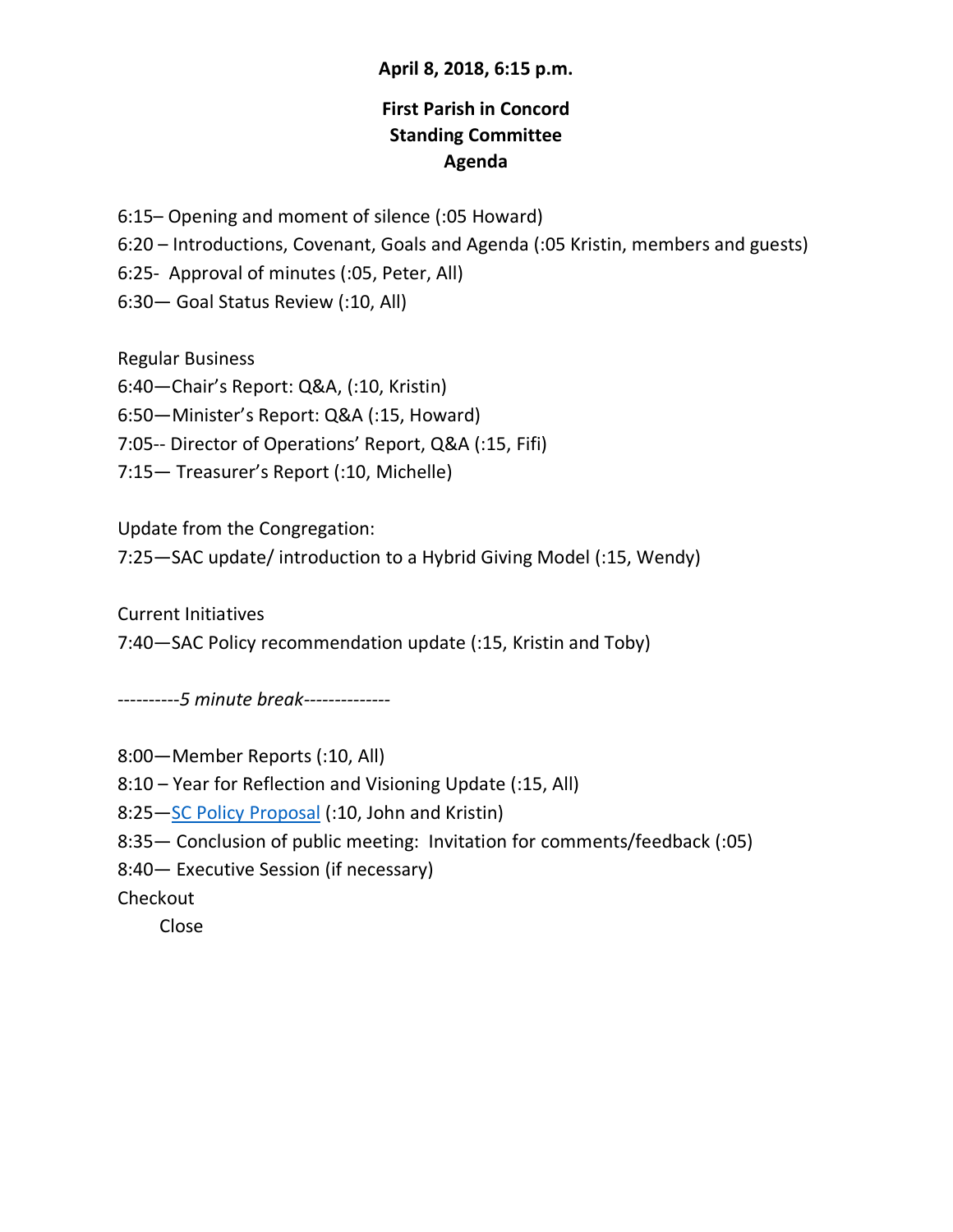## **April 8, 2018, 6:15 p.m.**

# **First Parish in Concord Standing Committee Agenda**

6:15– Opening and moment of silence (:05 Howard)

6:20 – Introductions, Covenant, Goals and Agenda (:05 Kristin, members and guests)

6:25- Approval of minutes (:05, Peter, All)

6:30— Goal Status Review (:10, All)

Regular Business

6:40—Chair's Report: Q&A, (:10, Kristin)

6:50—Minister's Report: Q&A (:15, Howard)

7:05-- Director of Operations' Report, Q&A (:15, Fifi)

7:15— Treasurer's Report (:10, Michelle)

Update from the Congregation:

7:25—SAC update/ introduction to a Hybrid Giving Model (:15, Wendy)

Current Initiatives

7:40—SAC Policy recommendation update (:15, Kristin and Toby)

----------*5 minute break--------------*

8:00—Member Reports (:10, All)

8:10 – Year for Reflection and Visioning Update (:15, All)

8:25—SC Policy Proposal (:10, John and Kristin)

8:35— Conclusion of public meeting: Invitation for comments/feedback (:05)

8:40— Executive Session (if necessary)

Checkout

Close